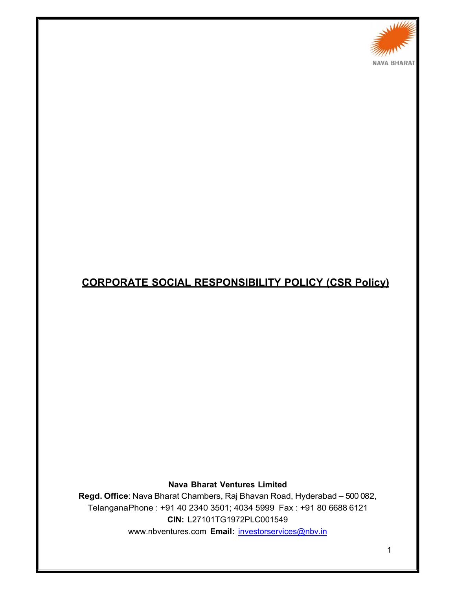

# **CORPORATE SOCIAL RESPONSIBILITY POLICY (CSR Policy)**

**Nava Bharat Ventures Limited** 

**Regd. Office**: Nava Bharat Chambers, Raj Bhavan Road, Hyderabad – 500 082, Telangana Phone : +91 40 2340 3501; 4034 5999 Fax : +91 80 6688 6121 **CIN:** L27101TG1972PLC001549 www.nbventures.com **Email:** investorservices@nbv.in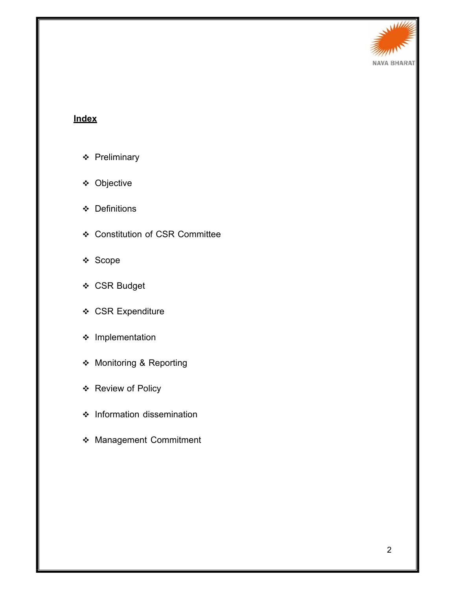

# **Index**

- ❖ Preliminary
- Objective
- Definitions
- Constitution of CSR Committee
- ❖ Scope
- CSR Budget
- CSR Expenditure
- $\div$  Implementation
- Monitoring & Reporting
- ❖ Review of Policy
- $\div$  Information dissemination
- Management Commitment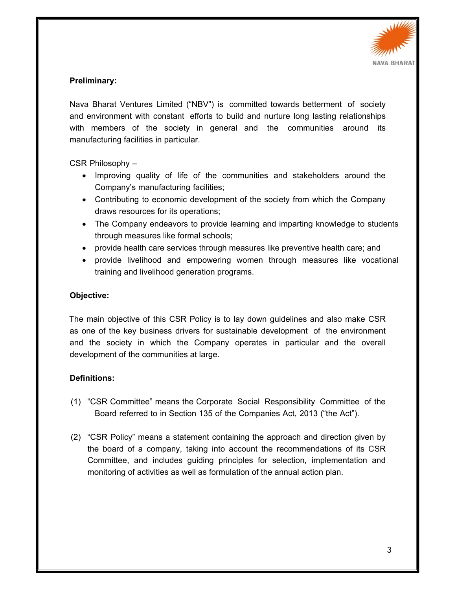

### **Preliminary:**

Nava Bharat Ventures Limited ("NBV") is committed towards betterment of society and environment with constant efforts to build and nurture long lasting relationships with members of the society in general and the communities around its manufacturing facilities in particular.

CSR Philosophy –

- Improving quality of life of the communities and stakeholders around the Company's manufacturing facilities;
- Contributing to economic development of the society from which the Company draws resources for its operations;
- The Company endeavors to provide learning and imparting knowledge to students through measures like formal schools;
- provide health care services through measures like preventive health care; and
- provide livelihood and empowering women through measures like vocational training and livelihood generation programs.

#### **Objective:**

The main objective of this CSR Policy is to lay down guidelines and also make CSR as one of the key business drivers for sustainable development of the environment and the society in which the Company operates in particular and the overall development of the communities at large.

# **Definitions:**

- (1) "CSR Committee" means the Corporate Social Responsibility Committee of the Board referred to in Section 135 of the Companies Act, 2013 ("the Act").
- (2) "CSR Policy" means a statement containing the approach and direction given by the board of a company, taking into account the recommendations of its CSR Committee, and includes guiding principles for selection, implementation and monitoring of activities as well as formulation of the annual action plan.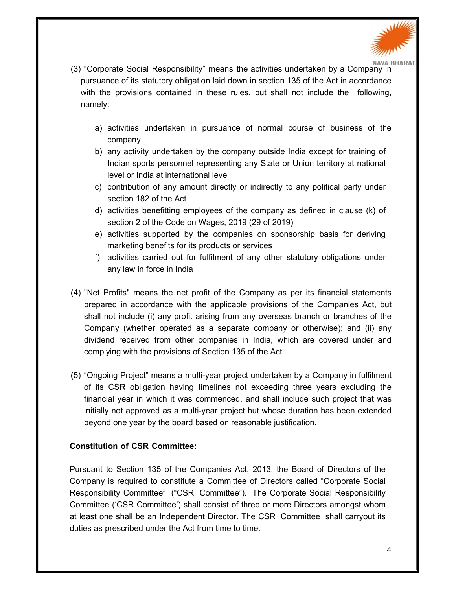

- (3) "Corporate Social Responsibility" means the activities undertaken by a Company in pursuance of its statutory obligation laid down in section 135 of the Act in accordance with the provisions contained in these rules, but shall not include the following, namely:
	- a) activities undertaken in pursuance of normal course of business of the company
	- b) any activity undertaken by the company outside India except for training of Indian sports personnel representing any State or Union territory at national level or India at international level
	- c) contribution of any amount directly or indirectly to any political party under section 182 of the Act
	- d) activities benefitting employees of the company as defined in clause (k) of section 2 of the Code on Wages, 2019 (29 of 2019)
	- e) activities supported by the companies on sponsorship basis for deriving marketing benefits for its products or services
	- f) activities carried out for fulfilment of any other statutory obligations under any law in force in India
- (4) "Net Profits" means the net profit of the Company as per its financial statements prepared in accordance with the applicable provisions of the Companies Act, but shall not include (i) any profit arising from any overseas branch or branches of the Company (whether operated as a separate company or otherwise); and (ii) any dividend received from other companies in India, which are covered under and complying with the provisions of Section 135 of the Act.
- (5) "Ongoing Project" means a multi-year project undertaken by a Company in fulfilment of its CSR obligation having timelines not exceeding three years excluding the financial year in which it was commenced, and shall include such project that was initially not approved as a multi-year project but whose duration has been extended beyond one year by the board based on reasonable justification.

# **Constitution of CSR Committee:**

Pursuant to Section 135 of the Companies Act, 2013, the Board of Directors of the Company is required to constitute a Committee of Directors called "Corporate Social Responsibility Committee" ("CSR Committee"). The Corporate Social Responsibility Committee ('CSR Committee') shall consist of three or more Directors amongst whom at least one shall be an Independent Director. The CSR Committee shall carryout its duties as prescribed under the Act from time to time.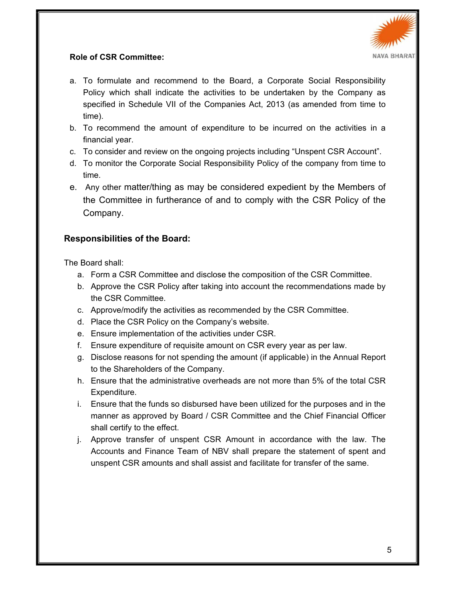

# **Role of CSR Committee:**

- a. To formulate and recommend to the Board, a Corporate Social Responsibility Policy which shall indicate the activities to be undertaken by the Company as specified in Schedule VII of the Companies Act, 2013 (as amended from time to time).
- b. To recommend the amount of expenditure to be incurred on the activities in a financial year.
- c. To consider and review on the ongoing projects including "Unspent CSR Account".
- d. To monitor the Corporate Social Responsibility Policy of the company from time to time.
- e. Any other matter/thing as may be considered expedient by the Members of the Committee in furtherance of and to comply with the CSR Policy of the Company.

# **Responsibilities of the Board:**

The Board shall:

- a. Form a CSR Committee and disclose the composition of the CSR Committee.
- b. Approve the CSR Policy after taking into account the recommendations made by the CSR Committee.
- c. Approve/modify the activities as recommended by the CSR Committee.
- d. Place the CSR Policy on the Company's website.
- e. Ensure implementation of the activities under CSR.
- f. Ensure expenditure of requisite amount on CSR every year as per law.
- g. Disclose reasons for not spending the amount (if applicable) in the Annual Report to the Shareholders of the Company.
- h. Ensure that the administrative overheads are not more than 5% of the total CSR Expenditure.
- i. Ensure that the funds so disbursed have been utilized for the purposes and in the manner as approved by Board / CSR Committee and the Chief Financial Officer shall certify to the effect.
- j. Approve transfer of unspent CSR Amount in accordance with the law. The Accounts and Finance Team of NBV shall prepare the statement of spent and unspent CSR amounts and shall assist and facilitate for transfer of the same.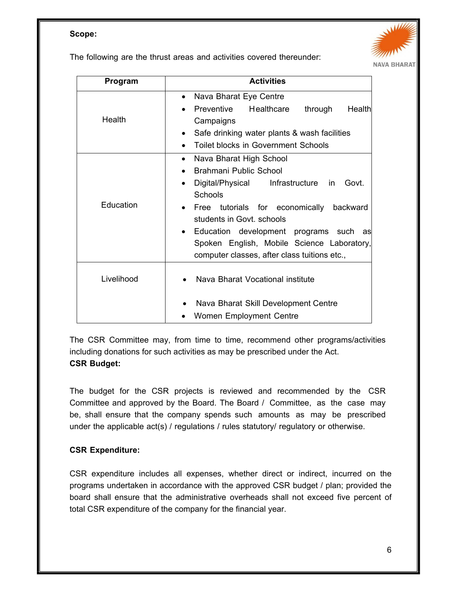#### **Scope:**

The following are the thrust areas and activities covered thereunder:



| Program    | <b>Activities</b>                                                                                                                                                                                                                                                                                                                                                      |
|------------|------------------------------------------------------------------------------------------------------------------------------------------------------------------------------------------------------------------------------------------------------------------------------------------------------------------------------------------------------------------------|
| Health     | Nava Bharat Eye Centre<br>$\bullet$<br>Preventive<br>Healthcare<br>through<br>Healthl<br>Campaigns<br>Safe drinking water plants & wash facilities<br>$\bullet$<br><b>Toilet blocks in Government Schools</b>                                                                                                                                                          |
| Education  | Nava Bharat High School<br>Brahmani Public School<br>Digital/Physical Infrastructure<br>Govt.<br><i>in</i><br>$\bullet$<br>Schools<br>Free<br>tutorials for economically<br>backward<br>students in Govt. schools<br>Education development programs such as<br>$\bullet$<br>Spoken English, Mobile Science Laboratory,<br>computer classes, after class tuitions etc., |
| Livelihood | Nava Bharat Vocational institute<br>Nava Bharat Skill Development Centre<br>Women Employment Centre                                                                                                                                                                                                                                                                    |

The CSR Committee may, from time to time, recommend other programs/activities including donations for such activities as may be prescribed under the Act. **CSR Budget:** 

The budget for the CSR projects is reviewed and recommended by the CSR Committee and approved by the Board. The Board / Committee, as the case may be, shall ensure that the company spends such amounts as may be prescribed under the applicable act(s) / regulations / rules statutory/ regulatory or otherwise.

# **CSR Expenditure:**

CSR expenditure includes all expenses, whether direct or indirect, incurred on the programs undertaken in accordance with the approved CSR budget / plan; provided the board shall ensure that the administrative overheads shall not exceed five percent of total CSR expenditure of the company for the financial year.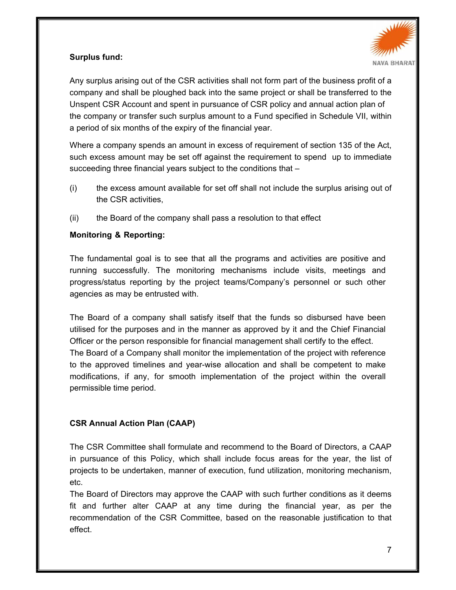

# **Surplus fund:**

Any surplus arising out of the CSR activities shall not form part of the business profit of a company and shall be ploughed back into the same project or shall be transferred to the Unspent CSR Account and spent in pursuance of CSR policy and annual action plan of the company or transfer such surplus amount to a Fund specified in Schedule VII, within a period of six months of the expiry of the financial year.

Where a company spends an amount in excess of requirement of section 135 of the Act, such excess amount may be set off against the requirement to spend up to immediate succeeding three financial years subject to the conditions that –

- (i) the excess amount available for set off shall not include the surplus arising out of the CSR activities,
- (ii) the Board of the company shall pass a resolution to that effect

# **Monitoring & Reporting:**

The fundamental goal is to see that all the programs and activities are positive and running successfully. The monitoring mechanisms include visits, meetings and progress/status reporting by the project teams/Company's personnel or such other agencies as may be entrusted with.

The Board of a company shall satisfy itself that the funds so disbursed have been utilised for the purposes and in the manner as approved by it and the Chief Financial Officer or the person responsible for financial management shall certify to the effect. The Board of a Company shall monitor the implementation of the project with reference to the approved timelines and year-wise allocation and shall be competent to make modifications, if any, for smooth implementation of the project within the overall permissible time period.

# **CSR Annual Action Plan (CAAP)**

The CSR Committee shall formulate and recommend to the Board of Directors, a CAAP in pursuance of this Policy, which shall include focus areas for the year, the list of projects to be undertaken, manner of execution, fund utilization, monitoring mechanism, etc.

The Board of Directors may approve the CAAP with such further conditions as it deems fit and further alter CAAP at any time during the financial year, as per the recommendation of the CSR Committee, based on the reasonable justification to that effect.